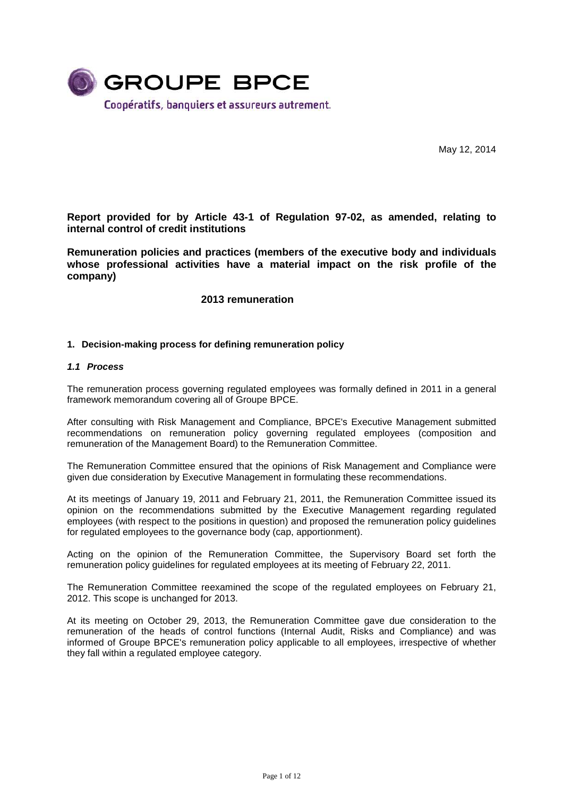

May 12, 2014

**Report provided for by Article 43-1 of Regulation 97-02, as amended, relating to internal control of credit institutions** 

**Remuneration policies and practices (members of the executive body and individuals whose professional activities have a material impact on the risk profile of the company)** 

#### **2013 remuneration**

#### **1. Decision-making process for defining remuneration policy**

#### **1.1 Process**

The remuneration process governing regulated employees was formally defined in 2011 in a general framework memorandum covering all of Groupe BPCE.

After consulting with Risk Management and Compliance, BPCE's Executive Management submitted recommendations on remuneration policy governing regulated employees (composition and remuneration of the Management Board) to the Remuneration Committee.

The Remuneration Committee ensured that the opinions of Risk Management and Compliance were given due consideration by Executive Management in formulating these recommendations.

At its meetings of January 19, 2011 and February 21, 2011, the Remuneration Committee issued its opinion on the recommendations submitted by the Executive Management regarding regulated employees (with respect to the positions in question) and proposed the remuneration policy guidelines for regulated employees to the governance body (cap, apportionment).

Acting on the opinion of the Remuneration Committee, the Supervisory Board set forth the remuneration policy guidelines for regulated employees at its meeting of February 22, 2011.

The Remuneration Committee reexamined the scope of the regulated employees on February 21, 2012. This scope is unchanged for 2013.

At its meeting on October 29, 2013, the Remuneration Committee gave due consideration to the remuneration of the heads of control functions (Internal Audit, Risks and Compliance) and was informed of Groupe BPCE's remuneration policy applicable to all employees, irrespective of whether they fall within a regulated employee category.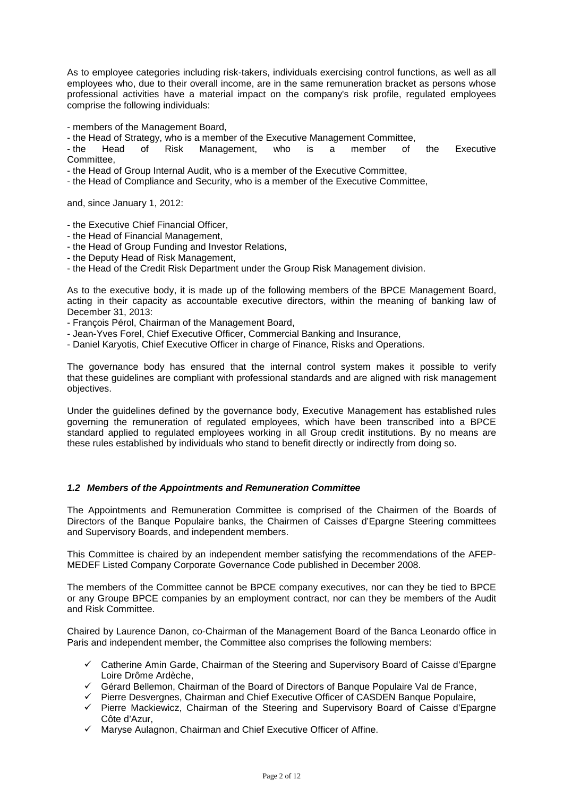As to employee categories including risk-takers, individuals exercising control functions, as well as all employees who, due to their overall income, are in the same remuneration bracket as persons whose professional activities have a material impact on the company's risk profile, regulated employees comprise the following individuals:

- members of the Management Board,

- the Head of Strategy, who is a member of the Executive Management Committee,

- the Head of Risk Management, who is a member of the Executive Committee,

- the Head of Group Internal Audit, who is a member of the Executive Committee,

- the Head of Compliance and Security, who is a member of the Executive Committee,

and, since January 1, 2012:

- the Executive Chief Financial Officer,

- the Head of Financial Management,
- the Head of Group Funding and Investor Relations,
- the Deputy Head of Risk Management,

- the Head of the Credit Risk Department under the Group Risk Management division.

As to the executive body, it is made up of the following members of the BPCE Management Board, acting in their capacity as accountable executive directors, within the meaning of banking law of December 31, 2013:

- François Pérol, Chairman of the Management Board,

- Jean-Yves Forel, Chief Executive Officer, Commercial Banking and Insurance,
- Daniel Karyotis, Chief Executive Officer in charge of Finance, Risks and Operations.

The governance body has ensured that the internal control system makes it possible to verify that these guidelines are compliant with professional standards and are aligned with risk management objectives.

Under the guidelines defined by the governance body, Executive Management has established rules governing the remuneration of regulated employees, which have been transcribed into a BPCE standard applied to regulated employees working in all Group credit institutions. By no means are these rules established by individuals who stand to benefit directly or indirectly from doing so.

#### **1.2 Members of the Appointments and Remuneration Committee**

The Appointments and Remuneration Committee is comprised of the Chairmen of the Boards of Directors of the Banque Populaire banks, the Chairmen of Caisses d'Epargne Steering committees and Supervisory Boards, and independent members.

This Committee is chaired by an independent member satisfying the recommendations of the AFEP-MEDEF Listed Company Corporate Governance Code published in December 2008.

The members of the Committee cannot be BPCE company executives, nor can they be tied to BPCE or any Groupe BPCE companies by an employment contract, nor can they be members of the Audit and Risk Committee.

Chaired by Laurence Danon, co-Chairman of the Management Board of the Banca Leonardo office in Paris and independent member, the Committee also comprises the following members:

- $\checkmark$  Catherine Amin Garde, Chairman of the Steering and Supervisory Board of Caisse d'Epargne Loire Drôme Ardèche,
- $\checkmark$  Gérard Bellemon, Chairman of the Board of Directors of Banque Populaire Val de France,
- $\checkmark$  Pierre Desvergnes, Chairman and Chief Executive Officer of CASDEN Banque Populaire,
- $\checkmark$  Pierre Mackiewicz, Chairman of the Steering and Supervisory Board of Caisse d'Epargne Côte d'Azur,
- $\checkmark$  Maryse Aulagnon, Chairman and Chief Executive Officer of Affine.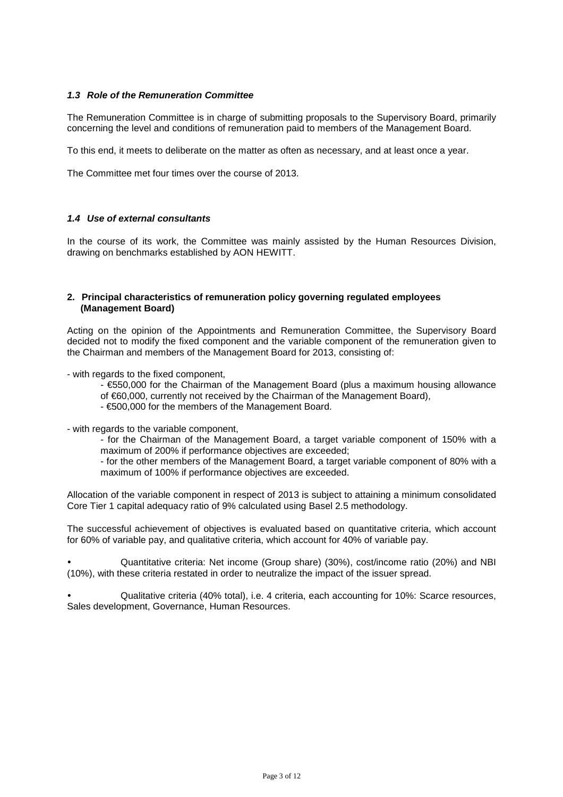### **1.3 Role of the Remuneration Committee**

The Remuneration Committee is in charge of submitting proposals to the Supervisory Board, primarily concerning the level and conditions of remuneration paid to members of the Management Board.

To this end, it meets to deliberate on the matter as often as necessary, and at least once a year.

The Committee met four times over the course of 2013.

### **1.4 Use of external consultants**

In the course of its work, the Committee was mainly assisted by the Human Resources Division, drawing on benchmarks established by AON HEWITT.

#### **2. Principal characteristics of remuneration policy governing regulated employees (Management Board)**

Acting on the opinion of the Appointments and Remuneration Committee, the Supervisory Board decided not to modify the fixed component and the variable component of the remuneration given to the Chairman and members of the Management Board for 2013, consisting of:

- with regards to the fixed component,

- €550,000 for the Chairman of the Management Board (plus a maximum housing allowance
- of €60,000, currently not received by the Chairman of the Management Board),
- €500,000 for the members of the Management Board.

- with regards to the variable component,

- for the Chairman of the Management Board, a target variable component of 150% with a maximum of 200% if performance objectives are exceeded;
- for the other members of the Management Board, a target variable component of 80% with a maximum of 100% if performance objectives are exceeded.

Allocation of the variable component in respect of 2013 is subject to attaining a minimum consolidated Core Tier 1 capital adequacy ratio of 9% calculated using Basel 2.5 methodology.

The successful achievement of objectives is evaluated based on quantitative criteria, which account for 60% of variable pay, and qualitative criteria, which account for 40% of variable pay.

- Quantitative criteria: Net income (Group share) (30%), cost/income ratio (20%) and NBI (10%), with these criteria restated in order to neutralize the impact of the issuer spread.

- Qualitative criteria (40% total), i.e. 4 criteria, each accounting for 10%: Scarce resources, Sales development, Governance, Human Resources.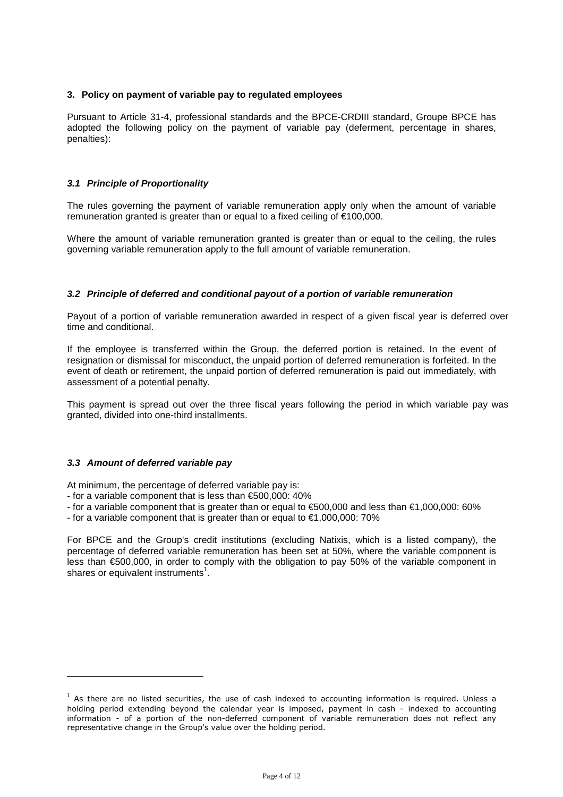### **3. Policy on payment of variable pay to regulated employees**

Pursuant to Article 31-4, professional standards and the BPCE-CRDIII standard, Groupe BPCE has adopted the following policy on the payment of variable pay (deferment, percentage in shares, penalties):

### **3.1 Principle of Proportionality**

The rules governing the payment of variable remuneration apply only when the amount of variable remuneration granted is greater than or equal to a fixed ceiling of €100,000.

Where the amount of variable remuneration granted is greater than or equal to the ceiling, the rules governing variable remuneration apply to the full amount of variable remuneration.

#### **3.2 Principle of deferred and conditional payout of a portion of variable remuneration**

Payout of a portion of variable remuneration awarded in respect of a given fiscal year is deferred over time and conditional.

If the employee is transferred within the Group, the deferred portion is retained. In the event of resignation or dismissal for misconduct, the unpaid portion of deferred remuneration is forfeited. In the event of death or retirement, the unpaid portion of deferred remuneration is paid out immediately, with assessment of a potential penalty.

This payment is spread out over the three fiscal years following the period in which variable pay was granted, divided into one-third installments.

#### **3.3 Amount of deferred variable pay**

 $\overline{a}$ 

At minimum, the percentage of deferred variable pay is:

- for a variable component that is less than €500,000: 40%
- for a variable component that is greater than or equal to €500,000 and less than €1,000,000: 60%
- for a variable component that is greater than or equal to  $\epsilon$ 1,000,000: 70%

For BPCE and the Group's credit institutions (excluding Natixis, which is a listed company), the percentage of deferred variable remuneration has been set at 50%, where the variable component is less than €500,000, in order to comply with the obligation to pay 50% of the variable component in shares or equivalent instruments<sup>1</sup>.

 $<sup>1</sup>$  As there are no listed securities, the use of cash indexed to accounting information is required. Unless a</sup> holding period extending beyond the calendar year is imposed, payment in cash - indexed to accounting information - of a portion of the non-deferred component of variable remuneration does not reflect any representative change in the Group's value over the holding period.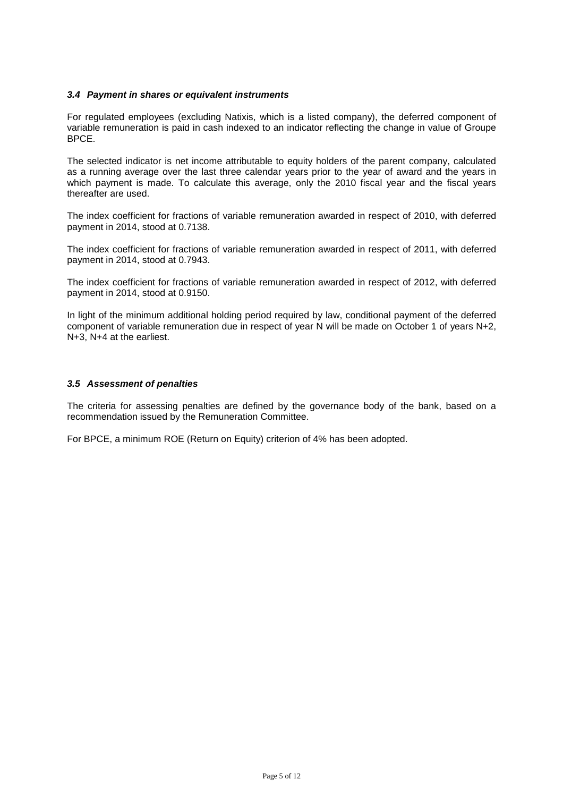### **3.4 Payment in shares or equivalent instruments**

For regulated employees (excluding Natixis, which is a listed company), the deferred component of variable remuneration is paid in cash indexed to an indicator reflecting the change in value of Groupe BPCE.

The selected indicator is net income attributable to equity holders of the parent company, calculated as a running average over the last three calendar years prior to the year of award and the years in which payment is made. To calculate this average, only the 2010 fiscal year and the fiscal years thereafter are used.

The index coefficient for fractions of variable remuneration awarded in respect of 2010, with deferred payment in 2014, stood at 0.7138.

The index coefficient for fractions of variable remuneration awarded in respect of 2011, with deferred payment in 2014, stood at 0.7943.

The index coefficient for fractions of variable remuneration awarded in respect of 2012, with deferred payment in 2014, stood at 0.9150.

In light of the minimum additional holding period required by law, conditional payment of the deferred component of variable remuneration due in respect of year N will be made on October 1 of years N+2, N+3, N+4 at the earliest.

#### **3.5 Assessment of penalties**

The criteria for assessing penalties are defined by the governance body of the bank, based on a recommendation issued by the Remuneration Committee.

For BPCE, a minimum ROE (Return on Equity) criterion of 4% has been adopted.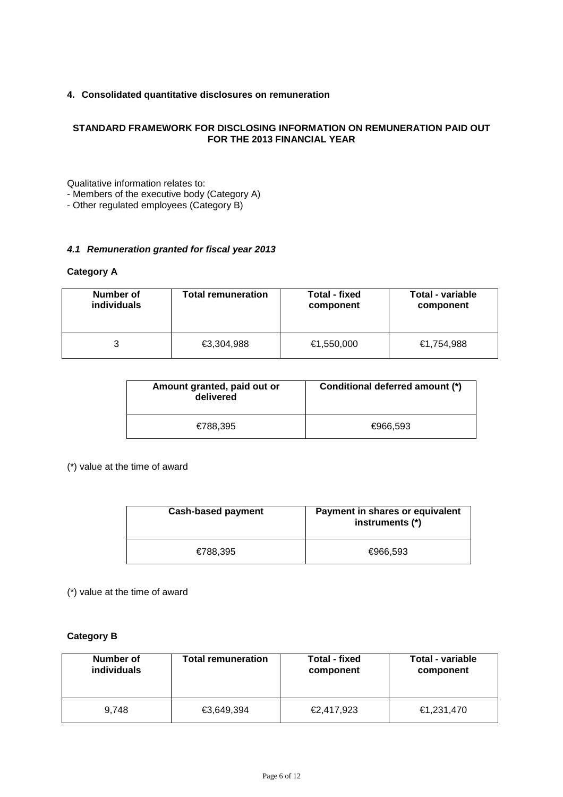## **4. Consolidated quantitative disclosures on remuneration**

### **STANDARD FRAMEWORK FOR DISCLOSING INFORMATION ON REMUNERATION PAID OUT FOR THE 2013 FINANCIAL YEAR**

Qualitative information relates to:

- Members of the executive body (Category A)

- Other regulated employees (Category B)

### **4.1 Remuneration granted for fiscal year 2013**

### **Category A**

| Number of          | <b>Total remuneration</b> | Total - fixed | Total - variable |
|--------------------|---------------------------|---------------|------------------|
| <i>individuals</i> |                           | component     | component        |
|                    | €3,304,988                | €1,550,000    | €1.754.988       |

| Amount granted, paid out or<br>delivered | Conditional deferred amount (*) |
|------------------------------------------|---------------------------------|
| €788.395                                 | €966.593                        |

(\*) value at the time of award

| <b>Cash-based payment</b> | Payment in shares or equivalent<br>instruments (*) |
|---------------------------|----------------------------------------------------|
| €788.395                  | €966.593                                           |

(\*) value at the time of award

### **Category B**

| Number of   | <b>Total remuneration</b> | Total - fixed | <b>Total - variable</b> |
|-------------|---------------------------|---------------|-------------------------|
| individuals |                           | component     | component               |
| 9.748       | €3,649,394                | €2,417,923    | €1,231,470              |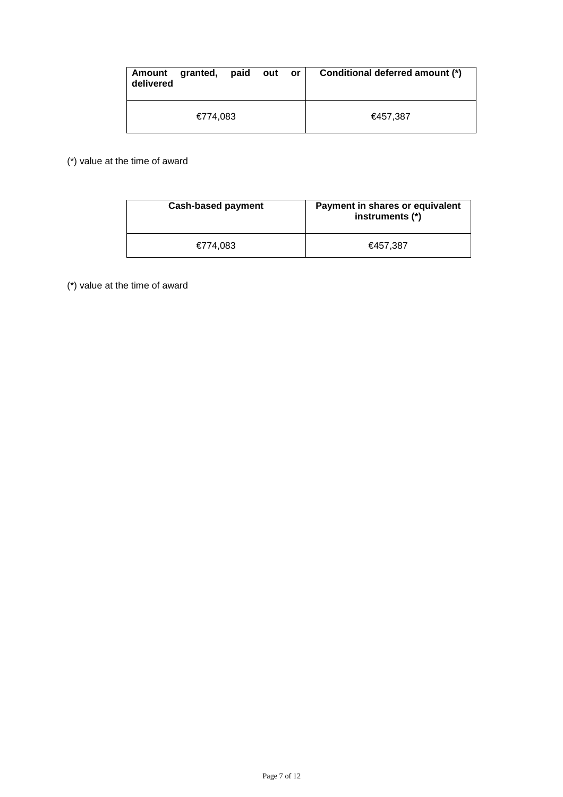| Amount<br>delivered | granted, paid | out | <b>or</b> | Conditional deferred amount (*) |
|---------------------|---------------|-----|-----------|---------------------------------|
|                     | €774,083      |     |           | €457.387                        |

(\*) value at the time of award

| <b>Cash-based payment</b> | Payment in shares or equivalent<br>instruments (*) |
|---------------------------|----------------------------------------------------|
| €774.083                  | €457.387                                           |

(\*) value at the time of award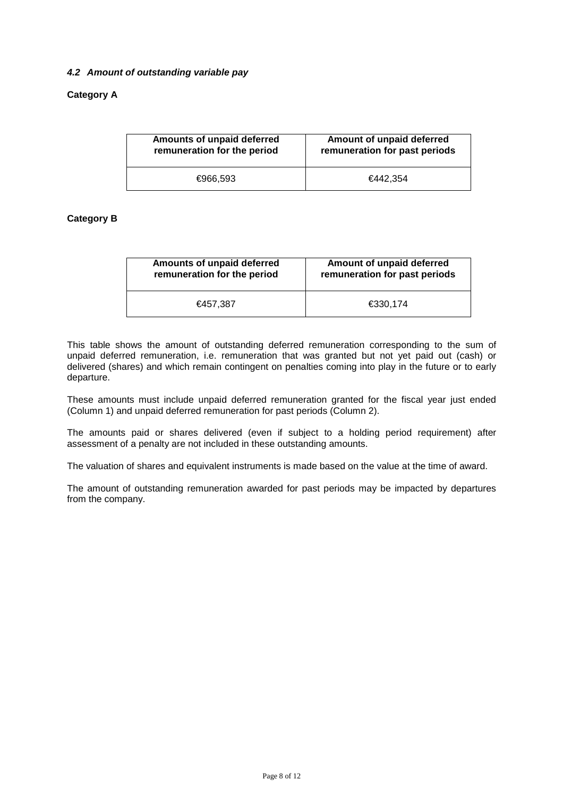## **4.2 Amount of outstanding variable pay**

## **Category A**

| Amounts of unpaid deferred  | Amount of unpaid deferred     |
|-----------------------------|-------------------------------|
| remuneration for the period | remuneration for past periods |
| €966.593                    | €442.354                      |

## **Category B**

| Amounts of unpaid deferred  | Amount of unpaid deferred     |
|-----------------------------|-------------------------------|
| remuneration for the period | remuneration for past periods |
| €457.387                    | €330.174                      |

This table shows the amount of outstanding deferred remuneration corresponding to the sum of unpaid deferred remuneration, i.e. remuneration that was granted but not yet paid out (cash) or delivered (shares) and which remain contingent on penalties coming into play in the future or to early departure.

These amounts must include unpaid deferred remuneration granted for the fiscal year just ended (Column 1) and unpaid deferred remuneration for past periods (Column 2).

The amounts paid or shares delivered (even if subject to a holding period requirement) after assessment of a penalty are not included in these outstanding amounts.

The valuation of shares and equivalent instruments is made based on the value at the time of award.

The amount of outstanding remuneration awarded for past periods may be impacted by departures from the company.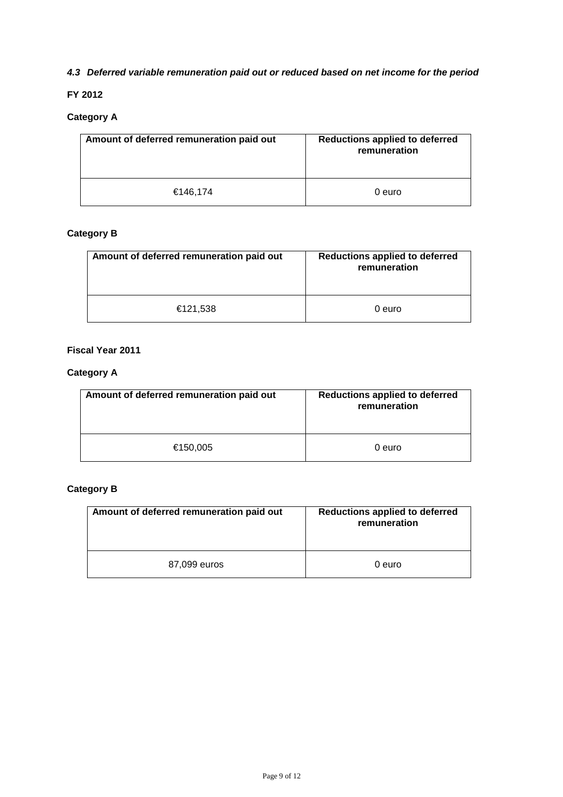# **4.3 Deferred variable remuneration paid out or reduced based on net income for the period**

## **FY 2012**

# **Category A**

| Amount of deferred remuneration paid out | Reductions applied to deferred<br>remuneration |
|------------------------------------------|------------------------------------------------|
| €146,174                                 | 0 euro                                         |

## **Category B**

| Amount of deferred remuneration paid out | <b>Reductions applied to deferred</b><br>remuneration |
|------------------------------------------|-------------------------------------------------------|
| €121,538                                 | 0 euro                                                |

## **Fiscal Year 2011**

# **Category A**

| Amount of deferred remuneration paid out | <b>Reductions applied to deferred</b><br>remuneration |
|------------------------------------------|-------------------------------------------------------|
| €150,005                                 | 0 euro                                                |

# **Category B**

| Amount of deferred remuneration paid out | <b>Reductions applied to deferred</b><br>remuneration |
|------------------------------------------|-------------------------------------------------------|
| 87,099 euros                             | 0 euro                                                |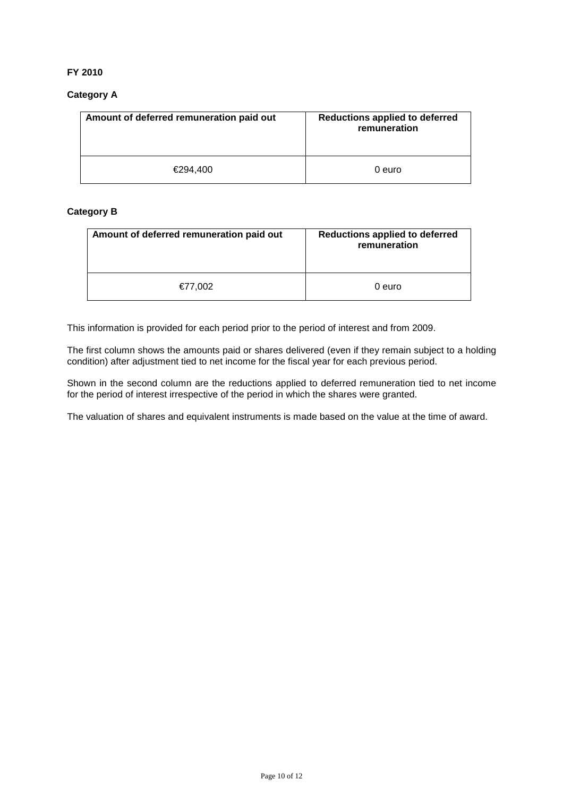## **FY 2010**

## **Category A**

| Amount of deferred remuneration paid out | <b>Reductions applied to deferred</b><br>remuneration |
|------------------------------------------|-------------------------------------------------------|
| €294.400                                 | 0 euro                                                |

## **Category B**

| Amount of deferred remuneration paid out | <b>Reductions applied to deferred</b><br>remuneration |
|------------------------------------------|-------------------------------------------------------|
| €77,002                                  | 0 euro                                                |

This information is provided for each period prior to the period of interest and from 2009.

The first column shows the amounts paid or shares delivered (even if they remain subject to a holding condition) after adjustment tied to net income for the fiscal year for each previous period.

Shown in the second column are the reductions applied to deferred remuneration tied to net income for the period of interest irrespective of the period in which the shares were granted.

The valuation of shares and equivalent instruments is made based on the value at the time of award.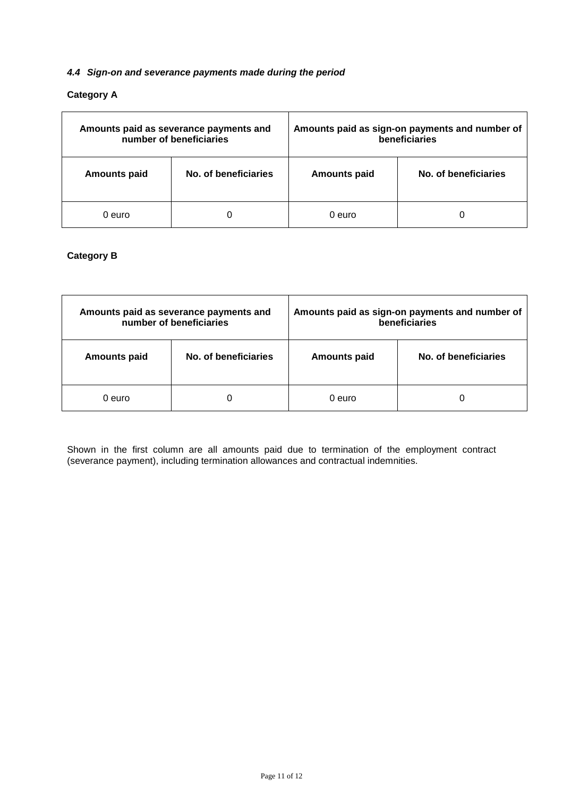### **4.4 Sign-on and severance payments made during the period**

## **Category A**

|                     | Amounts paid as severance payments and<br>number of beneficiaries |                     | Amounts paid as sign-on payments and number of<br>beneficiaries |
|---------------------|-------------------------------------------------------------------|---------------------|-----------------------------------------------------------------|
| <b>Amounts paid</b> | No. of beneficiaries                                              | <b>Amounts paid</b> | No. of beneficiaries                                            |
| 0 euro              |                                                                   | 0 euro              |                                                                 |

## **Category B**

|                     | Amounts paid as severance payments and<br>number of beneficiaries |                     | Amounts paid as sign-on payments and number of<br>beneficiaries |
|---------------------|-------------------------------------------------------------------|---------------------|-----------------------------------------------------------------|
| <b>Amounts paid</b> | No. of beneficiaries                                              | <b>Amounts paid</b> | No. of beneficiaries                                            |
| 0 euro              |                                                                   | 0 euro              |                                                                 |

Shown in the first column are all amounts paid due to termination of the employment contract (severance payment), including termination allowances and contractual indemnities.